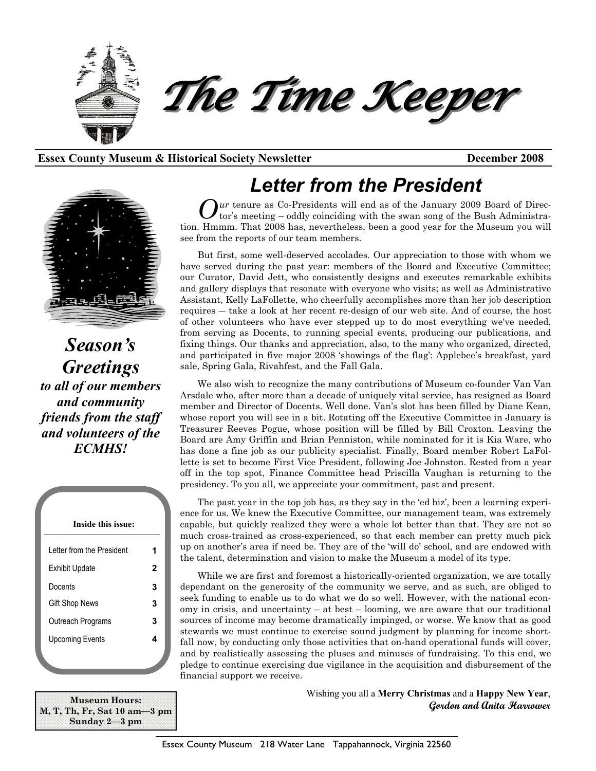

#### **Essex County Museum & Historical Society Newsletter December 2008**



*Season's Greetings to all of our members and community friends from the staff and volunteers of the ECMHS!* 

| Inside this issue:         |   |
|----------------------------|---|
| I etter from the President | 1 |
| <b>Exhibit Update</b>      | 2 |
| Docents                    | 3 |
| <b>Gift Shop News</b>      | 3 |
| Outreach Programs          | 3 |
| <b>Upcoming Events</b>     | 4 |
|                            |   |

**Museum Hours: M, T, Th, Fr, Sat 10 am—3 pm Sunday 2—3 pm** 

# *Letter from the President*

at a ur tenure as Co-Presidents will end as of the January 2009 Board of Director's meeting – oddly coinciding with the swan song of the Bush Administration. Hmmm. That 2008 has, nevertheless, been a good year for the Museum you will see from the reports of our team members.

But first, some well-deserved accolades. Our appreciation to those with whom we have served during the past year: members of the Board and Executive Committee; our Curator, David Jett, who consistently designs and executes remarkable exhibits and gallery displays that resonate with everyone who visits; as well as Administrative Assistant, Kelly LaFollette, who cheerfully accomplishes more than her job description requires ― take a look at her recent re-design of our web site. And of course, the host of other volunteers who have ever stepped up to do most everything we've needed, from serving as Docents, to running special events, producing our publications, and fixing things. Our thanks and appreciation, also, to the many who organized, directed, and participated in five major 2008 'showings of the flag': Applebee's breakfast, yard sale, Spring Gala, Rivahfest, and the Fall Gala.

We also wish to recognize the many contributions of Museum co-founder Van Van Arsdale who, after more than a decade of uniquely vital service, has resigned as Board member and Director of Docents. Well done. Van's slot has been filled by Diane Kean, whose report you will see in a bit. Rotating off the Executive Committee in January is Treasurer Reeves Pogue, whose position will be filled by Bill Croxton. Leaving the Board are Amy Griffin and Brian Penniston, while nominated for it is Kia Ware, who has done a fine job as our publicity specialist. Finally, Board member Robert LaFollette is set to become First Vice President, following Joe Johnston. Rested from a year off in the top spot, Finance Committee head Priscilla Vaughan is returning to the presidency. To you all, we appreciate your commitment, past and present.

The past year in the top job has, as they say in the 'ed biz', been a learning experience for us. We knew the Executive Committee, our management team, was extremely capable, but quickly realized they were a whole lot better than that. They are not so much cross-trained as cross-experienced, so that each member can pretty much pick up on another's area if need be. They are of the 'will do' school, and are endowed with the talent, determination and vision to make the Museum a model of its type.

While we are first and foremost a historically-oriented organization, we are totally dependant on the generosity of the community we serve, and as such, are obliged to seek funding to enable us to do what we do so well. However, with the national economy in crisis, and uncertainty – at best – looming, we are aware that our traditional sources of income may become dramatically impinged, or worse. We know that as good stewards we must continue to exercise sound judgment by planning for income shortfall now, by conducting only those activities that on-hand operational funds will cover, and by realistically assessing the pluses and minuses of fundraising. To this end, we pledge to continue exercising due vigilance in the acquisition and disbursement of the financial support we receive.

> Wishing you all a **Merry Christmas** and a **Happy New Year**, **Gordon and Anita Harrower**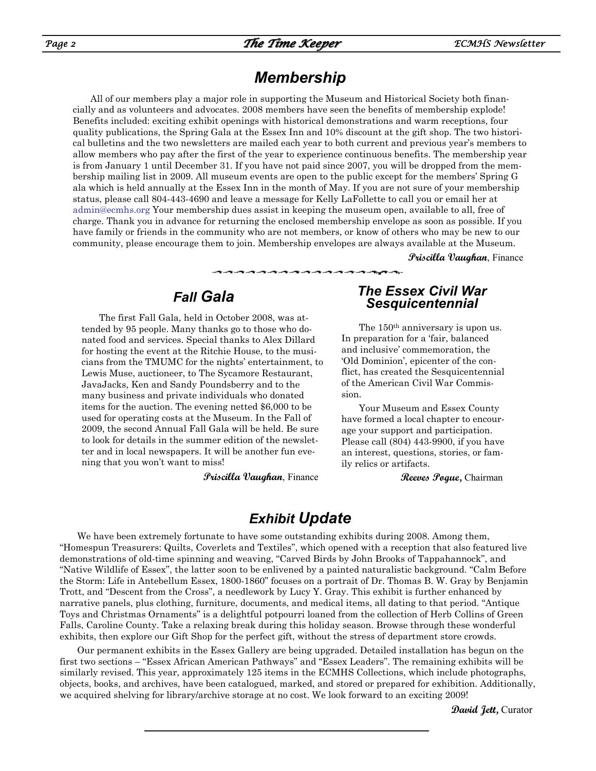## *Membership*

All of our members play a major role in supporting the Museum and Historical Society both financially and as volunteers and advocates. 2008 members have seen the benefits of membership explode! Benefits included: exciting exhibit openings with historical demonstrations and warm receptions, four quality publications, the Spring Gala at the Essex Inn and 10% discount at the gift shop. The two historical bulletins and the two newsletters are mailed each year to both current and previous year's members to allow members who pay after the first of the year to experience continuous benefits. The membership year is from January 1 until December 31. If you have not paid since 2007, you will be dropped from the membership mailing list in 2009. All museum events are open to the public except for the members' Spring G ala which is held annually at the Essex Inn in the month of May. If you are not sure of your membership status, please call 804-443-4690 and leave a message for Kelly LaFollette to call you or email her at admin@ecmhs.org Your membership dues assist in keeping the museum open, available to all, free of charge. Thank you in advance for returning the enclosed membership envelope as soon as possible. If you have family or friends in the community who are not members, or know of others who may be new to our community, please encourage them to join. Membership envelopes are always available at the Museum.

**Priscilla Vaughan**, Finance

#### *Fall Gala*

The first Fall Gala, held in October 2008, was attended by 95 people. Many thanks go to those who donated food and services. Special thanks to Alex Dillard for hosting the event at the Ritchie House, to the musicians from the TMUMC for the nights' entertainment, to Lewis Muse, auctioneer, to The Sycamore Restaurant, JavaJacks, Ken and Sandy Poundsberry and to the many business and private individuals who donated items for the auction. The evening netted \$6,000 to be used for operating costs at the Museum. In the Fall of 2009, the second Annual Fall Gala will be held. Be sure to look for details in the summer edition of the newsletter and in local newspapers. It will be another fun evening that you won't want to miss!

**Priscilla Vaughan**, Finance

#### *The Essex Civil War Sesquicentennial*

The 150<sup>th</sup> anniversary is upon us. In preparation for a 'fair, balanced and inclusive' commemoration, the 'Old Dominion', epicenter of the conflict, has created the Sesquicentennial of the American Civil War Commission.

Your Museum and Essex County have formed a local chapter to encourage your support and participation. Please call (804) 443-9900, if you have an interest, questions, stories, or family relics or artifacts.

**Reeves Pogue,** Chairman

#### *Exhibit Update*

We have been extremely fortunate to have some outstanding exhibits during 2008. Among them, "Homespun Treasurers: Quilts, Coverlets and Textiles", which opened with a reception that also featured live demonstrations of old-time spinning and weaving, "Carved Birds by John Brooks of Tappahannock", and "Native Wildlife of Essex", the latter soon to be enlivened by a painted naturalistic background. "Calm Before the Storm: Life in Antebellum Essex, 1800-1860" focuses on a portrait of Dr. Thomas B. W. Gray by Benjamin Trott, and "Descent from the Cross", a needlework by Lucy Y. Gray. This exhibit is further enhanced by narrative panels, plus clothing, furniture, documents, and medical items, all dating to that period. "Antique Toys and Christmas Ornaments" is a delightful potpourri loaned from the collection of Herb Collins of Green Falls, Caroline County. Take a relaxing break during this holiday season. Browse through these wonderful exhibits, then explore our Gift Shop for the perfect gift, without the stress of department store crowds.

Our permanent exhibits in the Essex Gallery are being upgraded. Detailed installation has begun on the first two sections – "Essex African American Pathways" and "Essex Leaders". The remaining exhibits will be similarly revised. This year, approximately 125 items in the ECMHS Collections, which include photographs, objects, books, and archives, have been catalogued, marked, and stored or prepared for exhibition. Additionally, we acquired shelving for library/archive storage at no cost. We look forward to an exciting 2009!

**David Jett,** Curator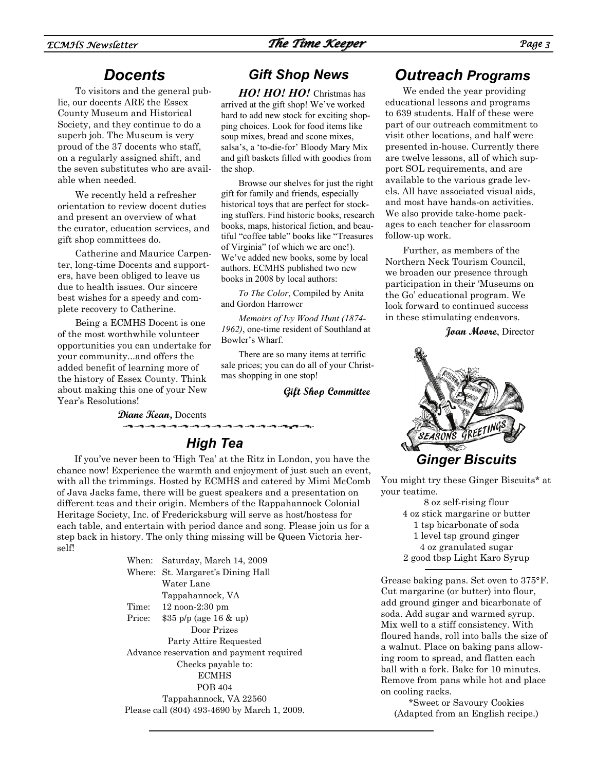#### *Docents*

To visitors and the general public, our docents ARE the Essex County Museum and Historical Society, and they continue to do a superb job. The Museum is very proud of the 37 docents who staff, on a regularly assigned shift, and the seven substitutes who are available when needed.

We recently held a refresher orientation to review docent duties and present an overview of what the curator, education services, and gift shop committees do.

Catherine and Maurice Carpenter, long-time Docents and supporters, have been obliged to leave us due to health issues. Our sincere best wishes for a speedy and complete recovery to Catherine.

Being a ECMHS Docent is one of the most worthwhile volunteer opportunities you can undertake for your community...and offers the added benefit of learning more of the history of Essex County. Think about making this one of your New Year's Resolutions!

#### *Gift Shop News*

*HO! HO! HO!* Christmas has arrived at the gift shop! We've worked hard to add new stock for exciting shopping choices. Look for food items like soup mixes, bread and scone mixes, salsa's, a 'to-die-for' Bloody Mary Mix and gift baskets filled with goodies from the shop.

Browse our shelves for just the right gift for family and friends, especially historical toys that are perfect for stocking stuffers. Find historic books, research books, maps, historical fiction, and beautiful "coffee table" books like "Treasures of Virginia" (of which we are one!). We've added new books, some by local authors. ECMHS published two new books in 2008 by local authors:

*To The Color*, Compiled by Anita and Gordon Harrower

*Memoirs of Ivy Wood Hunt (1874- 1962)*, one-time resident of Southland at Bowler's Wharf.

There are so many items at terrific sale prices; you can do all of your Christmas shopping in one stop!

**Gift Shop Committee** 

**Diane Kean,** Docents ومراومه ومراومه ومراومه ومراومه ومراوم

### *High Tea*

If you've never been to 'High Tea' at the Ritz in London, you have the chance now! Experience the warmth and enjoyment of just such an event, with all the trimmings. Hosted by ECMHS and catered by Mimi McComb of Java Jacks fame, there will be guest speakers and a presentation on different teas and their origin. Members of the Rappahannock Colonial Heritage Society, Inc. of Fredericksburg will serve as host/hostess for each table, and entertain with period dance and song. Please join us for a step back in history. The only thing missing will be Queen Victoria herself!

> When: Saturday, March 14, 2009 Where: St. Margaret's Dining Hall Water Lane Tappahannock, VA Time: 12 noon-2:30 pm Price: \$35 p/p (age 16 & up) Door Prizes Party Attire Requested Advance reservation and payment required Checks payable to: ECMHS POB 404 Tappahannock, VA 22560 Please call (804) 493-4690 by March 1, 2009.

### *Outreach Programs*

We ended the year providing educational lessons and programs to 639 students. Half of these were part of our outreach commitment to visit other locations, and half were presented in-house. Currently there are twelve lessons, all of which support SOL requirements, and are available to the various grade levels. All have associated visual aids, and most have hands-on activities. We also provide take-home packages to each teacher for classroom follow-up work.

Further, as members of the Northern Neck Tourism Council, we broaden our presence through participation in their 'Museums on the Go' educational program. We look forward to continued success in these stimulating endeavors.

**Joan Moore**, Director



You might try these Ginger Biscuits\* at your teatime.

> 8 oz self-rising flour 4 oz stick margarine or butter 1 tsp bicarbonate of soda 1 level tsp ground ginger 4 oz granulated sugar 2 good tbsp Light Karo Syrup

Grease baking pans. Set oven to 375°F. Cut margarine (or butter) into flour, add ground ginger and bicarbonate of soda. Add sugar and warmed syrup. Mix well to a stiff consistency. With floured hands, roll into balls the size of a walnut. Place on baking pans allowing room to spread, and flatten each ball with a fork. Bake for 10 minutes. Remove from pans while hot and place on cooling racks.

\*Sweet or Savoury Cookies (Adapted from an English recipe.)